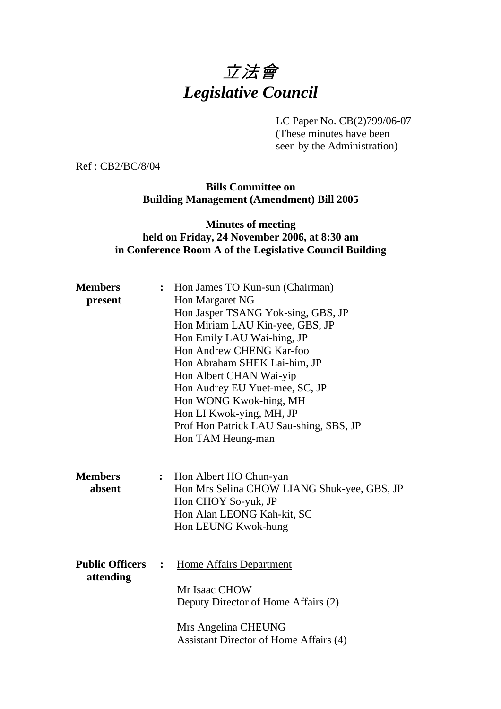# 立法會 *Legislative Council*

LC Paper No. CB(2)799/06-07

(These minutes have been seen by the Administration)

Ref : CB2/BC/8/04

**Bills Committee on Building Management (Amendment) Bill 2005** 

#### **Minutes of meeting held on Friday, 24 November 2006, at 8:30 am in Conference Room A of the Legislative Council Building**

| <b>Members</b><br>present           | $\ddot{\cdot}$ | Hon James TO Kun-sun (Chairman)<br>Hon Margaret NG<br>Hon Jasper TSANG Yok-sing, GBS, JP<br>Hon Miriam LAU Kin-yee, GBS, JP<br>Hon Emily LAU Wai-hing, JP<br>Hon Andrew CHENG Kar-foo<br>Hon Abraham SHEK Lai-him, JP<br>Hon Albert CHAN Wai-yip<br>Hon Audrey EU Yuet-mee, SC, JP<br>Hon WONG Kwok-hing, MH<br>Hon LI Kwok-ying, MH, JP<br>Prof Hon Patrick LAU Sau-shing, SBS, JP<br>Hon TAM Heung-man |
|-------------------------------------|----------------|----------------------------------------------------------------------------------------------------------------------------------------------------------------------------------------------------------------------------------------------------------------------------------------------------------------------------------------------------------------------------------------------------------|
| <b>Members</b><br>absent            | $\ddot{\cdot}$ | Hon Albert HO Chun-yan<br>Hon Mrs Selina CHOW LIANG Shuk-yee, GBS, JP<br>Hon CHOY So-yuk, JP<br>Hon Alan LEONG Kah-kit, SC<br>Hon LEUNG Kwok-hung                                                                                                                                                                                                                                                        |
| <b>Public Officers</b><br>attending | $\ddot{\cdot}$ | <b>Home Affairs Department</b><br>Mr Isaac CHOW<br>Deputy Director of Home Affairs (2)<br>Mrs Angelina CHEUNG<br>Assistant Director of Home Affairs (4)                                                                                                                                                                                                                                                  |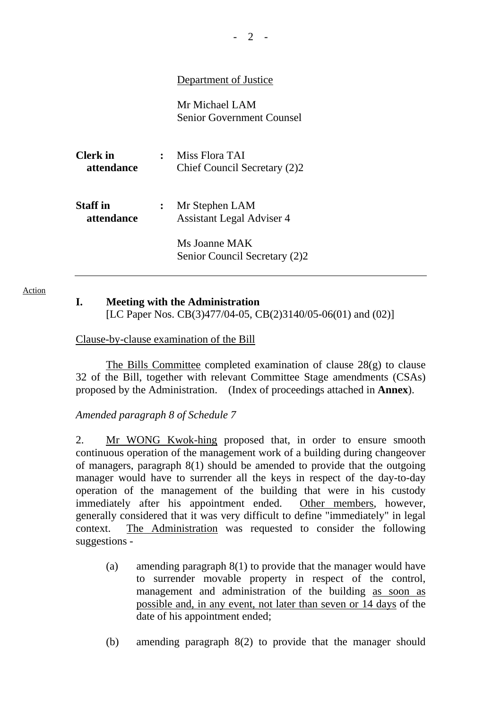|                        |              | Department of Justice                              |
|------------------------|--------------|----------------------------------------------------|
|                        |              | Mr Michael LAM<br>Senior Government Counsel        |
| Clerk in<br>attendance | $\mathbf{r}$ | Miss Flora TAI<br>Chief Council Secretary (2)2     |
| Staff in<br>attendance |              | Mr Stephen LAM<br><b>Assistant Legal Adviser 4</b> |
|                        |              | Ms Joanne MAK<br>Senior Council Secretary (2)2     |

Action

## **I. Meeting with the Administration**

[LC Paper Nos. CB(3)477/04-05, CB(2)3140/05-06(01) and (02)]

Clause-by-clause examination of the Bill

The Bills Committee completed examination of clause  $28(g)$  to clause 32 of the Bill, together with relevant Committee Stage amendments (CSAs) proposed by the Administration. (Index of proceedings attached in **Annex**).

*Amended paragraph 8 of Schedule 7* 

2. Mr WONG Kwok-hing proposed that, in order to ensure smooth continuous operation of the management work of a building during changeover of managers, paragraph 8(1) should be amended to provide that the outgoing manager would have to surrender all the keys in respect of the day-to-day operation of the management of the building that were in his custody immediately after his appointment ended. Other members, however, generally considered that it was very difficult to define "immediately" in legal context. The Administration was requested to consider the following suggestions -

- (a) amending paragraph 8(1) to provide that the manager would have to surrender movable property in respect of the control, management and administration of the building as soon as possible and, in any event, not later than seven or 14 days of the date of his appointment ended;
- (b) amending paragraph 8(2) to provide that the manager should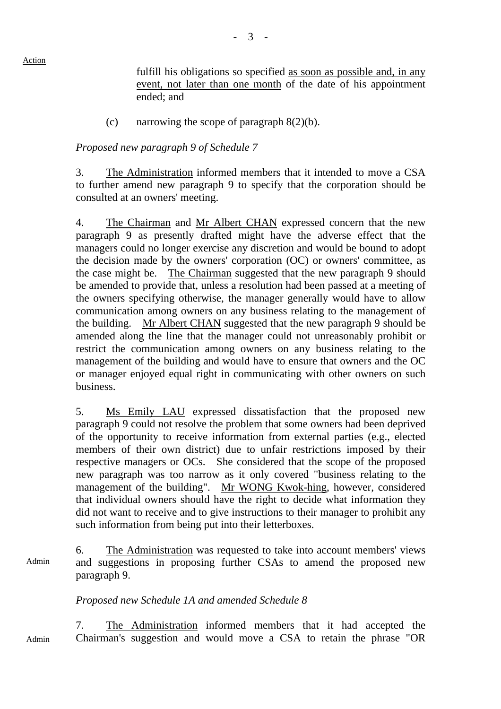fulfill his obligations so specified as soon as possible and, in any event, not later than one month of the date of his appointment ended; and

(c) narrowing the scope of paragraph  $8(2)(b)$ .

#### *Proposed new paragraph 9 of Schedule 7*

3. The Administration informed members that it intended to move a CSA to further amend new paragraph 9 to specify that the corporation should be consulted at an owners' meeting.

4. The Chairman and Mr Albert CHAN expressed concern that the new paragraph 9 as presently drafted might have the adverse effect that the managers could no longer exercise any discretion and would be bound to adopt the decision made by the owners' corporation (OC) or owners' committee, as the case might be. The Chairman suggested that the new paragraph 9 should be amended to provide that, unless a resolution had been passed at a meeting of the owners specifying otherwise, the manager generally would have to allow communication among owners on any business relating to the management of the building. Mr Albert CHAN suggested that the new paragraph 9 should be amended along the line that the manager could not unreasonably prohibit or restrict the communication among owners on any business relating to the management of the building and would have to ensure that owners and the OC or manager enjoyed equal right in communicating with other owners on such business.

5. Ms Emily LAU expressed dissatisfaction that the proposed new paragraph 9 could not resolve the problem that some owners had been deprived of the opportunity to receive information from external parties (e.g., elected members of their own district) due to unfair restrictions imposed by their respective managers or OCs. She considered that the scope of the proposed new paragraph was too narrow as it only covered "business relating to the management of the building". Mr WONG Kwok-hing, however, considered that individual owners should have the right to decide what information they did not want to receive and to give instructions to their manager to prohibit any such information from being put into their letterboxes.

6. The Administration was requested to take into account members' views and suggestions in proposing further CSAs to amend the proposed new paragraph 9. Admin

### *Proposed new Schedule 1A and amended Schedule 8*

7. The Administration informed members that it had accepted the Chairman's suggestion and would move a CSA to retain the phrase "OR Admin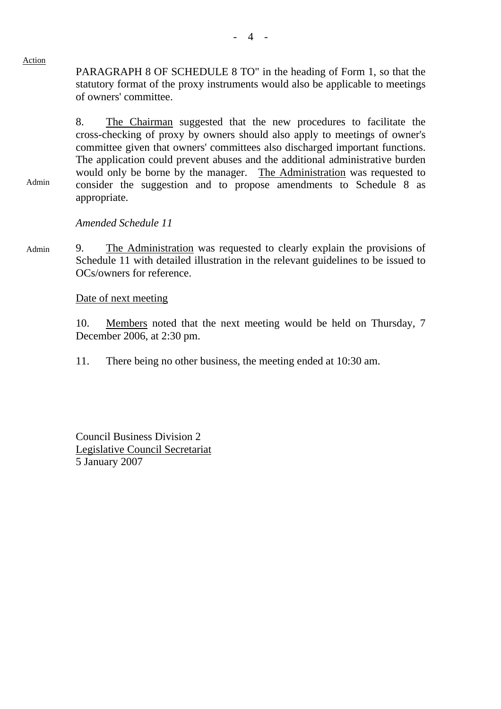PARAGRAPH 8 OF SCHEDULE 8 TO" in the heading of Form 1, so that the statutory format of the proxy instruments would also be applicable to meetings of owners' committee.

8. The Chairman suggested that the new procedures to facilitate the cross-checking of proxy by owners should also apply to meetings of owner's committee given that owners' committees also discharged important functions. The application could prevent abuses and the additional administrative burden would only be borne by the manager. The Administration was requested to consider the suggestion and to propose amendments to Schedule 8 as appropriate.

*Amended Schedule 11* 

9. The Administration was requested to clearly explain the provisions of Schedule 11 with detailed illustration in the relevant guidelines to be issued to OCs/owners for reference. Admin

Date of next meeting

10. Members noted that the next meeting would be held on Thursday, 7 December 2006, at 2:30 pm.

11. There being no other business, the meeting ended at 10:30 am.

Council Business Division 2 Legislative Council Secretariat 5 January 2007

#### Action

Admin